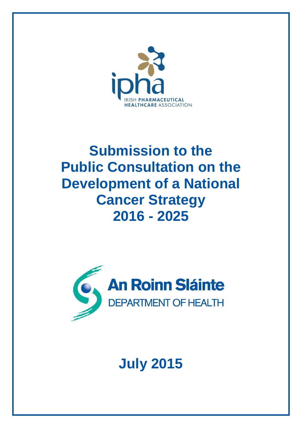

## **Submission to the Public Consultation on the Development of a National Cancer Strategy 2016 - 2025**



# **July 2015**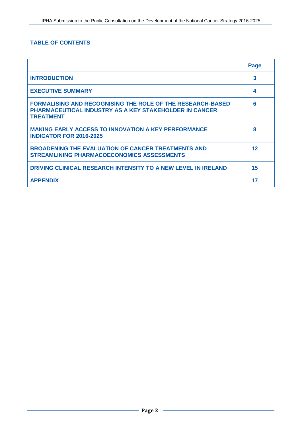## **TABLE OF CONTENTS**

|                                                                                                                                                        | Page |
|--------------------------------------------------------------------------------------------------------------------------------------------------------|------|
| <b>INTRODUCTION</b>                                                                                                                                    | 3    |
| <b>EXECUTIVE SUMMARY</b>                                                                                                                               | 4    |
| <b>FORMALISING AND RECOGNISING THE ROLE OF THE RESEARCH-BASED</b><br><b>PHARMACEUTICAL INDUSTRY AS A KEY STAKEHOLDER IN CANCER</b><br><b>TREATMENT</b> | 6    |
| <b>MAKING EARLY ACCESS TO INNOVATION A KEY PERFORMANCE</b><br><b>INDICATOR FOR 2016-2025</b>                                                           | 8    |
| <b>BROADENING THE EVALUATION OF CANCER TREATMENTS AND</b><br><b>STREAMLINING PHARMACOECONOMICS ASSESSMENTS</b>                                         | 12   |
| DRIVING CLINICAL RESEARCH INTENSITY TO A NEW LEVEL IN IRELAND                                                                                          | 15   |
| <b>APPENDIX</b>                                                                                                                                        | 17   |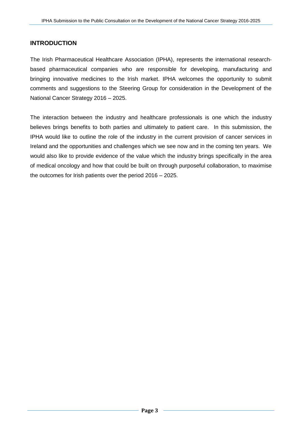## **INTRODUCTION**

The Irish Pharmaceutical Healthcare Association (IPHA), represents the international researchbased pharmaceutical companies who are responsible for developing, manufacturing and bringing innovative medicines to the Irish market. IPHA welcomes the opportunity to submit comments and suggestions to the Steering Group for consideration in the Development of the National Cancer Strategy 2016 – 2025.

The interaction between the industry and healthcare professionals is one which the industry believes brings benefits to both parties and ultimately to patient care. In this submission, the IPHA would like to outline the role of the industry in the current provision of cancer services in Ireland and the opportunities and challenges which we see now and in the coming ten years. We would also like to provide evidence of the value which the industry brings specifically in the area of medical oncology and how that could be built on through purposeful collaboration, to maximise the outcomes for Irish patients over the period 2016 – 2025.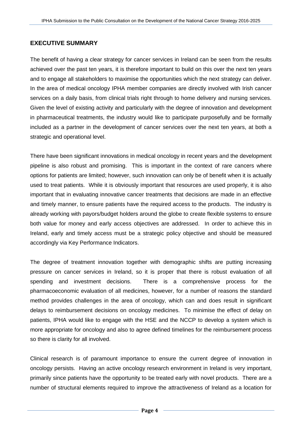## **EXECUTIVE SUMMARY**

The benefit of having a clear strategy for cancer services in Ireland can be seen from the results achieved over the past ten years, it is therefore important to build on this over the next ten years and to engage all stakeholders to maximise the opportunities which the next strategy can deliver. In the area of medical oncology IPHA member companies are directly involved with Irish cancer services on a daily basis, from clinical trials right through to home delivery and nursing services. Given the level of existing activity and particularly with the degree of innovation and development in pharmaceutical treatments, the industry would like to participate purposefully and be formally included as a partner in the development of cancer services over the next ten years, at both a strategic and operational level.

There have been significant innovations in medical oncology in recent years and the development pipeline is also robust and promising. This is important in the context of rare cancers where options for patients are limited; however, such innovation can only be of benefit when it is actually used to treat patients. While it is obviously important that resources are used properly, it is also important that in evaluating innovative cancer treatments that decisions are made in an effective and timely manner, to ensure patients have the required access to the products. The industry is already working with payors/budget holders around the globe to create flexible systems to ensure both value for money and early access objectives are addressed. In order to achieve this in Ireland, early and timely access must be a strategic policy objective and should be measured accordingly via Key Performance Indicators.

The degree of treatment innovation together with demographic shifts are putting increasing pressure on cancer services in Ireland, so it is proper that there is robust evaluation of all spending and investment decisions. There is a comprehensive process for the pharmacoeconomic evaluation of all medicines, however, for a number of reasons the standard method provides challenges in the area of oncology, which can and does result in significant delays to reimbursement decisions on oncology medicines. To minimise the effect of delay on patients, IPHA would like to engage with the HSE and the NCCP to develop a system which is more appropriate for oncology and also to agree defined timelines for the reimbursement process so there is clarity for all involved.

Clinical research is of paramount importance to ensure the current degree of innovation in oncology persists. Having an active oncology research environment in Ireland is very important, primarily since patients have the opportunity to be treated early with novel products. There are a number of structural elements required to improve the attractiveness of Ireland as a location for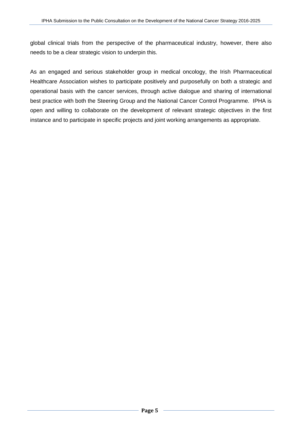global clinical trials from the perspective of the pharmaceutical industry, however, there also needs to be a clear strategic vision to underpin this.

As an engaged and serious stakeholder group in medical oncology, the Irish Pharmaceutical Healthcare Association wishes to participate positively and purposefully on both a strategic and operational basis with the cancer services, through active dialogue and sharing of international best practice with both the Steering Group and the National Cancer Control Programme. IPHA is open and willing to collaborate on the development of relevant strategic objectives in the first instance and to participate in specific projects and joint working arrangements as appropriate.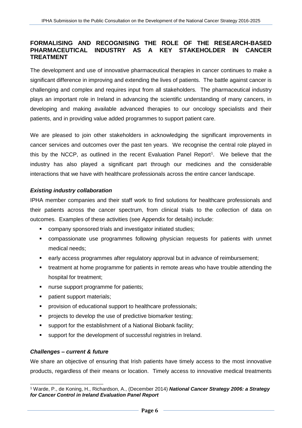## **FORMALISING AND RECOGNISING THE ROLE OF THE RESEARCH-BASED PHARMACEUTICAL INDUSTRY AS A KEY STAKEHOLDER IN CANCER TREATMENT**

The development and use of innovative pharmaceutical therapies in cancer continues to make a significant difference in improving and extending the lives of patients. The battle against cancer is challenging and complex and requires input from all stakeholders. The pharmaceutical industry plays an important role in Ireland in advancing the scientific understanding of many cancers, in developing and making available advanced therapies to our oncology specialists and their patients, and in providing value added programmes to support patient care.

We are pleased to join other stakeholders in acknowledging the significant improvements in cancer services and outcomes over the past ten years. We recognise the central role played in this by the NCCP, as outlined in the recent Evaluation Panel Report<sup>1</sup>. We believe that the industry has also played a significant part through our medicines and the considerable interactions that we have with healthcare professionals across the entire cancer landscape.

## *Existing industry collaboration*

IPHA member companies and their staff work to find solutions for healthcare professionals and their patients across the cancer spectrum, from clinical trials to the collection of data on outcomes. Examples of these activities (see Appendix for details) include:

- company sponsored trials and investigator initiated studies;
- compassionate use programmes following physician requests for patients with unmet medical needs;
- early access programmes after regulatory approval but in advance of reimbursement;
- **treatment at home programme for patients in remote areas who have trouble attending the** hospital for treatment;
- nurse support programme for patients;
- patient support materials;
- **PEDRI** provision of educational support to healthcare professionals;
- **PED PROJECTS** to develop the use of predictive biomarker testing;
- support for the establishment of a National Biobank facility;
- support for the development of successful registries in Ireland.

## *Challenges – current & future*

We share an objective of ensuring that Irish patients have timely access to the most innovative products, regardless of their means or location. Timely access to innovative medical treatments

l <sup>1</sup> Warde, P., de Koning, H., Richardson, A., (December 2014) *National Cancer Strategy 2006: a Strategy for Cancer Control in Ireland Evaluation Panel Report*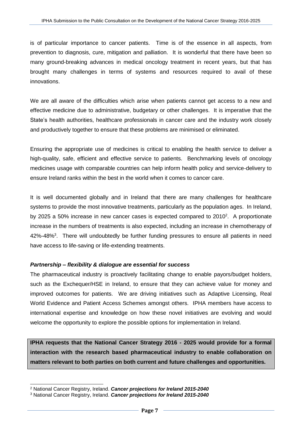is of particular importance to cancer patients. Time is of the essence in all aspects, from prevention to diagnosis, cure, mitigation and palliation. It is wonderful that there have been so many ground-breaking advances in medical oncology treatment in recent years, but that has brought many challenges in terms of systems and resources required to avail of these innovations.

We are all aware of the difficulties which arise when patients cannot get access to a new and effective medicine due to administrative, budgetary or other challenges. It is imperative that the State's health authorities, healthcare professionals in cancer care and the industry work closely and productively together to ensure that these problems are minimised or eliminated.

Ensuring the appropriate use of medicines is critical to enabling the health service to deliver a high-quality, safe, efficient and effective service to patients. Benchmarking levels of oncology medicines usage with comparable countries can help inform health policy and service-delivery to ensure Ireland ranks within the best in the world when it comes to cancer care.

It is well documented globally and in Ireland that there are many challenges for healthcare systems to provide the most innovative treatments, particularly as the population ages. In Ireland, by 2025 a 50% increase in new cancer cases is expected compared to  $2010^2$ . A proportionate increase in the numbers of treatments is also expected, including an increase in chemotherapy of 42%-48%<sup>3</sup>. There will undoubtedly be further funding pressures to ensure all patients in need have access to life-saving or life-extending treatments.

## *Partnership – flexibility & dialogue are essential for success*

The pharmaceutical industry is proactively facilitating change to enable payors/budget holders, such as the Exchequer/HSE in Ireland, to ensure that they can achieve value for money and improved outcomes for patients. We are driving initiatives such as Adaptive Licensing, Real World Evidence and Patient Access Schemes amongst others. IPHA members have access to international expertise and knowledge on how these novel initiatives are evolving and would welcome the opportunity to explore the possible options for implementation in Ireland.

**IPHA requests that the National Cancer Strategy 2016 - 2025 would provide for a formal interaction with the research based pharmaceutical industry to enable collaboration on matters relevant to both parties on both current and future challenges and opportunities.**

l

<sup>2</sup> National Cancer Registry, Ireland. *Cancer projections for Ireland 2015-2040*

<sup>3</sup> National Cancer Registry, Ireland. *Cancer projections for Ireland 2015-2040*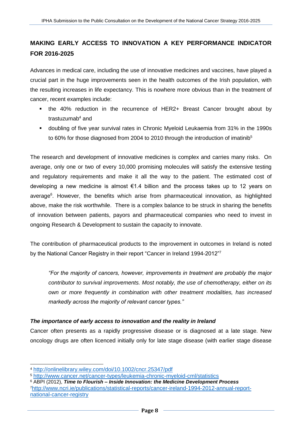## **MAKING EARLY ACCESS TO INNOVATION A KEY PERFORMANCE INDICATOR FOR 2016-2025**

Advances in medical care, including the use of innovative medicines and vaccines, have played a crucial part in the huge improvements seen in the health outcomes of the Irish population, with the resulting increases in life expectancy. This is nowhere more obvious than in the treatment of cancer, recent examples include:

- the 40% reduction in the recurrence of HER2+ Breast Cancer brought about by trastuzuma $b<sup>4</sup>$  and
- doubling of five year survival rates in Chronic Myeloid Leukaemia from 31% in the 1990s to 60% for those diagnosed from 2004 to 2010 through the introduction of imatinib<sup>5</sup>

The research and development of innovative medicines is complex and carries many risks. On average, only one or two of every 10,000 promising molecules will satisfy the extensive testing and regulatory requirements and make it all the way to the patient. The estimated cost of developing a new medicine is almost €1.4 billion and the process takes up to 12 years on average<sup>6</sup>. However, the benefits which arise from pharmaceutical innovation, as highlighted above, make the risk worthwhile. There is a complex balance to be struck in sharing the benefits of innovation between patients, payors and pharmaceutical companies who need to invest in ongoing Research & Development to sustain the capacity to innovate.

The contribution of pharmaceutical products to the improvement in outcomes in Ireland is noted by the National Cancer Registry in their report "Cancer in Ireland 1994-2012"<sup>7</sup>

*"For the majority of cancers, however, improvements in treatment are probably the major contributor to survival improvements. Most notably, the use of chemotherapy, either on its own or more frequently in combination with other treatment modalities, has increased markedly across the majority of relevant cancer types."*

## *The importance of early access to innovation and the reality in Ireland*

Cancer often presents as a rapidly progressive disease or is diagnosed at a late stage. New oncology drugs are often licenced initially only for late stage disease (with earlier stage disease

l

<sup>6</sup> ABPI (2012), *Time to Flourish – Inside Innovation: the Medicine Development Process* 7[http://www.ncri.ie/publications/statistical-reports/cancer-ireland-1994-2012-annual-report](http://www.ncri.ie/publications/statistical-reports/cancer-ireland-1994-2012-annual-report-national-cancer-registry)[national-cancer-registry](http://www.ncri.ie/publications/statistical-reports/cancer-ireland-1994-2012-annual-report-national-cancer-registry)

<sup>4</sup> <http://onlinelibrary.wiley.com/doi/10.1002/cncr.25347/pdf>

<sup>5</sup> <http://www.cancer.net/cancer-types/leukemia-chronic-myeloid-cml/statistics>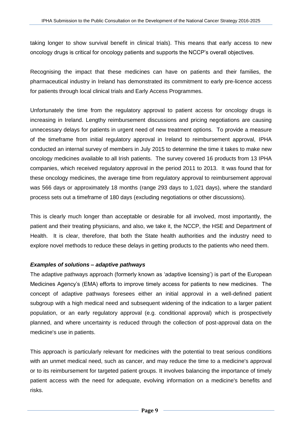taking longer to show survival benefit in clinical trials). This means that early access to new oncology drugs is critical for oncology patients and supports the NCCP's overall objectives.

Recognising the impact that these medicines can have on patients and their families, the pharmaceutical industry in Ireland has demonstrated its commitment to early pre-licence access for patients through local clinical trials and Early Access Programmes.

Unfortunately the time from the regulatory approval to patient access for oncology drugs is increasing in Ireland. Lengthy reimbursement discussions and pricing negotiations are causing unnecessary delays for patients in urgent need of new treatment options. To provide a measure of the timeframe from initial regulatory approval in Ireland to reimbursement approval, IPHA conducted an internal survey of members in July 2015 to determine the time it takes to make new oncology medicines available to all Irish patients. The survey covered 16 products from 13 IPHA companies, which received regulatory approval in the period 2011 to 2013. It was found that for these oncology medicines, the average time from regulatory approval to reimbursement approval was 566 days or approximately 18 months (range 293 days to 1,021 days), where the standard process sets out a timeframe of 180 days (excluding negotiations or other discussions).

This is clearly much longer than acceptable or desirable for all involved, most importantly, the patient and their treating physicians, and also, we take it, the NCCP, the HSE and Department of Health. It is clear, therefore, that both the State health authorities and the industry need to explore novel methods to reduce these delays in getting products to the patients who need them.

## *Examples of solutions – adaptive pathways*

The adaptive pathways approach (formerly known as 'adaptive licensing') is part of the European Medicines Agency's (EMA) efforts to improve timely access for patients to new medicines. The concept of adaptive pathways foresees either an initial approval in a well-defined patient subgroup with a high medical need and subsequent widening of the indication to a larger patient population, or an early regulatory approval (e.g. conditional approval) which is prospectively planned, and where uncertainty is reduced through the collection of post-approval data on the medicine's use in patients.

This approach is particularly relevant for medicines with the potential to treat serious conditions with an unmet medical need, such as cancer, and may reduce the time to a medicine's approval or to its reimbursement for targeted patient groups. It involves balancing the importance of timely patient access with the need for adequate, evolving information on a medicine's benefits and risks.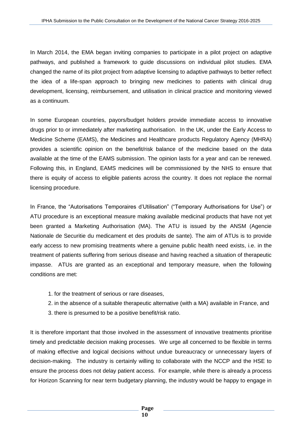In March 2014, the EMA began inviting companies to participate in a pilot project on adaptive pathways, and published a framework to guide discussions on individual pilot studies. EMA changed the name of its pilot project from adaptive licensing to adaptive pathways to better reflect the idea of a life-span approach to bringing new medicines to patients with clinical drug development, licensing, reimbursement, and utilisation in clinical practice and monitoring viewed as a continuum.

In some European countries, payors/budget holders provide immediate access to innovative drugs prior to or immediately after marketing authorisation. In the UK, under the Early Access to Medicine Scheme (EAMS), the Medicines and Healthcare products Regulatory Agency (MHRA) provides a scientific opinion on the benefit/risk balance of the medicine based on the data available at the time of the EAMS submission. The opinion lasts for a year and can be renewed. Following this, in England, EAMS medicines will be commissioned by the NHS to ensure that there is equity of access to eligible patients across the country. It does not replace the normal licensing procedure.

In France, the "Autorisations Temporaires d'Utilisation" ("Temporary Authorisations for Use") or ATU procedure is an exceptional measure making available medicinal products that have not yet been granted a Marketing Authorisation (MA). The ATU is issued by the ANSM (Agencie Nationale de Securitie du medicament et des produits de sante). The aim of ATUs is to provide early access to new promising treatments where a genuine public health need exists, i.e. in the treatment of patients suffering from serious disease and having reached a situation of therapeutic impasse. ATUs are granted as an exceptional and temporary measure, when the following conditions are met:

- 1. for the treatment of serious or rare diseases,
- 2. in the absence of a suitable therapeutic alternative (with a MA) available in France, and
- 3. there is presumed to be a positive benefit/risk ratio.

It is therefore important that those involved in the assessment of innovative treatments prioritise timely and predictable decision making processes. We urge all concerned to be flexible in terms of making effective and logical decisions without undue bureaucracy or unnecessary layers of decision-making. The industry is certainly willing to collaborate with the NCCP and the HSE to ensure the process does not delay patient access. For example, while there is already a process for Horizon Scanning for near term budgetary planning, the industry would be happy to engage in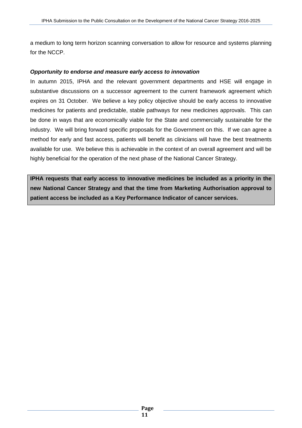a medium to long term horizon scanning conversation to allow for resource and systems planning for the NCCP.

### *Opportunity to endorse and measure early access to innovation*

In autumn 2015, IPHA and the relevant government departments and HSE will engage in substantive discussions on a successor agreement to the current framework agreement which expires on 31 October. We believe a key policy objective should be early access to innovative medicines for patients and predictable, stable pathways for new medicines approvals. This can be done in ways that are economically viable for the State and commercially sustainable for the industry. We will bring forward specific proposals for the Government on this. If we can agree a method for early and fast access, patients will benefit as clinicians will have the best treatments available for use. We believe this is achievable in the context of an overall agreement and will be highly beneficial for the operation of the next phase of the National Cancer Strategy.

**IPHA requests that early access to innovative medicines be included as a priority in the new National Cancer Strategy and that the time from Marketing Authorisation approval to patient access be included as a Key Performance Indicator of cancer services.**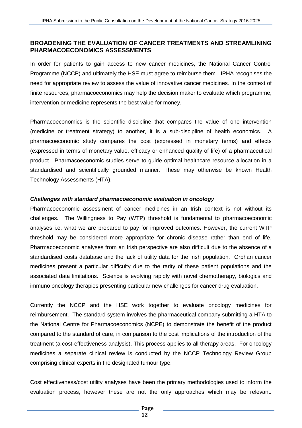## **BROADENING THE EVALUATION OF CANCER TREATMENTS AND STREAMLINING PHARMACOECONOMICS ASSESSMENTS**

In order for patients to gain access to new cancer medicines, the National Cancer Control Programme (NCCP) and ultimately the HSE must agree to reimburse them. IPHA recognises the need for appropriate review to assess the value of innovative cancer medicines. In the context of finite resources, pharmacoeconomics may help the decision maker to evaluate which programme, intervention or medicine represents the best value for money.

Pharmacoeconomics is the scientific discipline that compares the value of one intervention (medicine or treatment strategy) to another, it is a sub-discipline of [health economics.](https://en.wikipedia.org/wiki/Health_economics) A pharmacoeconomic study compares the cost (expressed in monetary terms) and effects (expressed in terms of monetary value, efficacy or enhanced [quality](https://en.wikipedia.org/wiki/Quality_of_life) of life) of a pharmaceutical product. Pharmacoeconomic studies serve to guide optimal healthcare resource allocation in a standardised and scientifically grounded manner. These may otherwise be known Health Technology Assessments (HTA).

#### *Challenges with standard pharmacoeconomic evaluation in oncology*

Pharmacoeconomic assessment of cancer medicines in an Irish context is not without its challenges. The Willingness to Pay (WTP) threshold is fundamental to pharmacoeconomic analyses i.e. what we are prepared to pay for improved outcomes. However, the current WTP threshold may be considered more appropriate for chronic disease rather than end of life. Pharmacoeconomic analyses from an Irish perspective are also difficult due to the absence of a standardised costs database and the lack of utility data for the Irish population. Orphan cancer medicines present a particular difficulty due to the rarity of these patient populations and the associated data limitations. Science is evolving rapidly with novel chemotherapy, biologics and immuno oncology therapies presenting particular new challenges for cancer drug evaluation.

Currently the NCCP and the HSE work together to evaluate oncology medicines for reimbursement. The standard system involves the pharmaceutical company submitting a HTA to the National Centre for Pharmacoeconomics (NCPE) to demonstrate the benefit of the product compared to the standard of care, in comparison to the cost implications of the introduction of the treatment (a cost-effectiveness analysis). This process applies to all therapy areas. For oncology medicines a separate clinical review is conducted by the NCCP Technology Review Group comprising clinical experts in the designated tumour type.

Cost effectiveness/cost utility analyses have been the primary methodologies used to inform the evaluation process, however these are not the only approaches which may be relevant.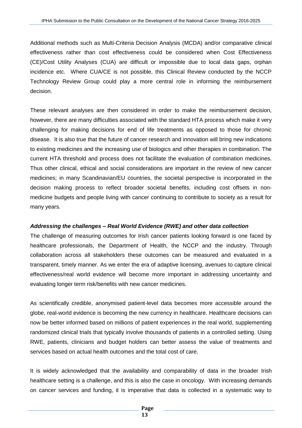Additional methods such as Multi-Criteria Decision Analysis (MCDA) and/or comparative clinical effectiveness rather than cost effectiveness could be considered when Cost Effectiveness (CE)/Cost Utility Analyses (CUA) are difficult or impossible due to local data gaps, orphan incidence etc. Where CUA/CE is not possible, this Clinical Review conducted by the NCCP Technology Review Group could play a more central role in informing the reimbursement decision.

These relevant analyses are then considered in order to make the reimbursement decision, however, there are many difficulties associated with the standard HTA process which make it very challenging for making decisions for end of life treatments as opposed to those for chronic disease. It is also true that the future of cancer research and innovation will bring new indications to existing medicines and the increasing use of biologics and other therapies in combination. The current HTA threshold and process does not facilitate the evaluation of combination medicines. Thus other clinical, ethical and social considerations are important in the review of new cancer medicines; in many Scandinavian/EU countries, the societal perspective is incorporated in the decision making process to reflect broader societal benefits, including cost offsets in nonmedicine budgets and people living with cancer continuing to contribute to society as a result for many years.

## *Addressing the challenges – Real World Evidence (RWE) and other data collection*

The challenge of measuring outcomes for Irish cancer patients looking forward is one faced by healthcare professionals, the Department of Health, the NCCP and the industry. Through collaboration across all stakeholders these outcomes can be measured and evaluated in a transparent, timely manner. As we enter the era of adaptive licensing, avenues to capture clinical effectiveness/real world evidence will become more important in addressing uncertainty and evaluating longer term risk/benefits with new cancer medicines.

As scientifically credible, anonymised patient-level data becomes more accessible around the globe, real-world evidence is becoming the new currency in healthcare. Healthcare decisions can now be better informed based on millions of patient experiences in the real world, supplementing randomized clinical trials that typically involve thousands of patients in a controlled setting. Using RWE, patients, clinicians and budget holders can better assess the value of treatments and services based on actual health outcomes and the total cost of care.

It is widely acknowledged that the availability and comparability of data in the broader Irish healthcare setting is a challenge, and this is also the case in oncology. With increasing demands on cancer services and funding, it is imperative that data is collected in a systematic way to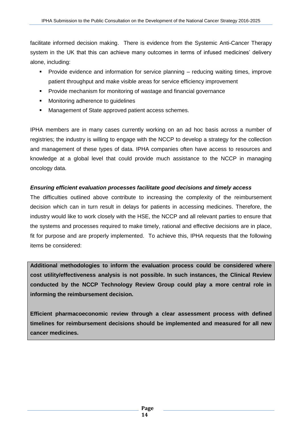facilitate informed decision making. There is evidence from the Systemic Anti-Cancer Therapy system in the UK that this can achieve many outcomes in terms of infused medicines' delivery alone, including:

- **Provide evidence and information for service planning reducing waiting times, improve** patient throughput and make visible areas for service efficiency improvement
- **Provide mechanism for monitoring of wastage and financial governance**
- **•** Monitoring adherence to guidelines
- **Management of State approved patient access schemes.**

IPHA members are in many cases currently working on an ad hoc basis across a number of registries; the industry is willing to engage with the NCCP to develop a strategy for the collection and management of these types of data. IPHA companies often have access to resources and knowledge at a global level that could provide much assistance to the NCCP in managing oncology data.

## *Ensuring efficient evaluation processes facilitate good decisions and timely access*

The difficulties outlined above contribute to increasing the complexity of the reimbursement decision which can in turn result in delays for patients in accessing medicines. Therefore, the industry would like to work closely with the HSE, the NCCP and all relevant parties to ensure that the systems and processes required to make timely, rational and effective decisions are in place, fit for purpose and are properly implemented. To achieve this, IPHA requests that the following items be considered:

**Additional methodologies to inform the evaluation process could be considered where cost utility/effectiveness analysis is not possible. In such instances, the Clinical Review conducted by the NCCP Technology Review Group could play a more central role in informing the reimbursement decision.** 

**Efficient pharmacoeconomic review through a clear assessment process with defined timelines for reimbursement decisions should be implemented and measured for all new cancer medicines.**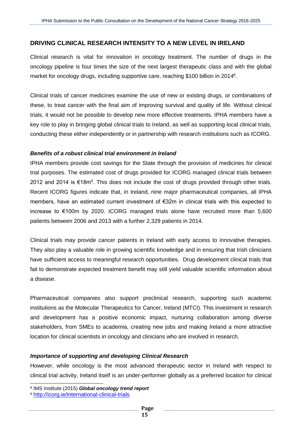## **DRIVING CLINICAL RESEARCH INTENSITY TO A NEW LEVEL IN IRELAND**

Clinical research is vital for innovation in oncology treatment. The number of drugs in the oncology pipeline is four times the size of the next largest therapeutic class and with the global market for oncology drugs, including supportive care, reaching \$100 billion in 2014<sup>8</sup>.

Clinical trials of cancer medicines examine the use of new or existing drugs, or combinations of these, to treat cancer with the final aim of improving survival and quality of life. Without clinical trials, it would not be possible to develop new more effective treatments. IPHA members have a key role to play in bringing global clinical trials to Ireland, as well as supporting local clinical trials, conducting these either independently or in partnership with research institutions such as ICORG.

#### *Benefits of a robust clinical trial environment in Ireland*

IPHA members provide cost savings for the State through the provision of medicines for clinical trial purposes. The estimated cost of drugs provided for ICORG managed clinical trials between 2012 and 2014 is €18m<sup>9</sup>. This does not include the cost of drugs provided through other trials. Recent ICORG figures indicate that, in Ireland, nine major pharmaceutical companies, all IPHA members, have an estimated current investment of €32m in clinical trials with this expected to increase to €100m by 2020. ICORG managed trials alone have recruited more than 5,600 patients between 2006 and 2013 with a further 2,329 patients in 2014.

Clinical trials may provide cancer patients in Ireland with early access to innovative therapies. They also play a valuable role in growing scientific knowledge and in ensuring that Irish clinicians have sufficient access to meaningful research opportunities. Drug development clinical trials that fail to demonstrate expected treatment benefit may still yield valuable scientific information about a disease.

Pharmaceutical companies also support preclinical research, supporting such academic institutions as the Molecular Therapeutics for Cancer, Ireland (MTCI). This investment in research and development has a positive economic impact, nurturing collaboration among diverse stakeholders, from SMEs to academia, creating new jobs and making Ireland a more attractive location for clinical scientists in oncology and clinicians who are involved in research.

#### *Importance of supporting and developing Clinical Research*

However, while oncology is the most advanced therapeutic sector in Ireland with respect to clinical trial activity, Ireland itself is an under-performer globally as a preferred location for clinical

l

<sup>8</sup> IMS Institute (2015) *Global oncology trend report*

<sup>9</sup> <http://icorg.ie/international-clinical-trials>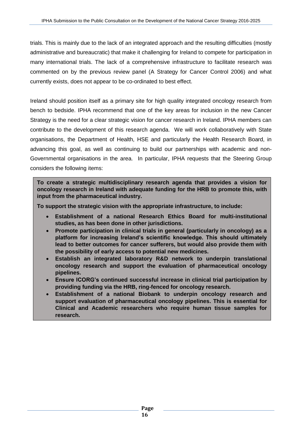trials. This is mainly due to the lack of an integrated approach and the resulting difficulties (mostly administrative and bureaucratic) that make it challenging for Ireland to compete for participation in many international trials. The lack of a comprehensive infrastructure to facilitate research was commented on by the previous review panel (A Strategy for Cancer Control 2006) and what currently exists, does not appear to be co-ordinated to best effect.

Ireland should position itself as a primary site for high quality integrated oncology research from bench to bedside. IPHA recommend that one of the key areas for inclusion in the new Cancer Strategy is the need for a clear strategic vision for cancer research in Ireland. IPHA members can contribute to the development of this research agenda. We will work collaboratively with State organisations, the Department of Health, HSE and particularly the Health Research Board, in advancing this goal, as well as continuing to build our partnerships with academic and non-Governmental organisations in the area. In particular, IPHA requests that the Steering Group considers the following items:

**To create a strategic multidisciplinary research agenda that provides a vision for oncology research in Ireland with adequate funding for the HRB to promote this, with input from the pharmaceutical industry.**

**To support the strategic vision with the appropriate infrastructure, to include:**

- **Establishment of a national Research Ethics Board for multi-institutional studies, as has been done in other jurisdictions.**
- **Promote participation in clinical trials in general (particularly in oncology) as a platform for increasing Ireland's scientific knowledge. This should ultimately lead to better outcomes for cancer sufferers, but would also provide them with the possibility of early access to potential new medicines.**
- **Establish an integrated laboratory R&D network to underpin translational oncology research and support the evaluation of pharmaceutical oncology pipelines.**
- **Ensure ICORG's continued successful increase in clinical trial participation by providing funding via the HRB, ring-fenced for oncology research.**
- **Establishment of a national Biobank to underpin oncology research and support evaluation of pharmaceutical oncology pipelines. This is essential for Clinical and Academic researchers who require human tissue samples for research.**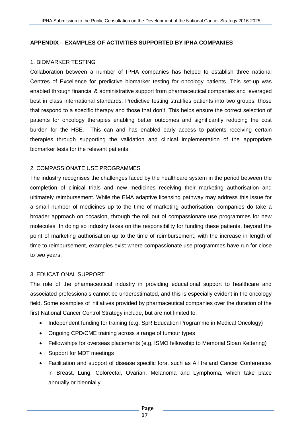## **APPENDIX – EXAMPLES OF ACTIVITIES SUPPORTED BY IPHA COMPANIES**

## 1. BIOMARKER TESTING

Collaboration between a number of IPHA companies has helped to establish three national Centres of Excellence for predictive biomarker testing for oncology patients. This set-up was enabled through financial & administrative support from pharmaceutical companies and leveraged best in class international standards. Predictive testing stratifies patients into two groups, those that respond to a specific therapy and those that don't. This helps ensure the correct selection of patients for oncology therapies enabling better outcomes and significantly reducing the cost burden for the HSE. This can and has enabled early access to patients receiving certain therapies through supporting the validation and clinical implementation of the appropriate biomarker tests for the relevant patients.

## 2. COMPASSIONATE USE PROGRAMMES

The industry recognises the challenges faced by the healthcare system in the period between the completion of clinical trials and new medicines receiving their marketing authorisation and ultimately reimbursement. While the EMA adaptive licensing pathway may address this issue for a small number of medicines up to the time of marketing authorisation, companies do take a broader approach on occasion, through the roll out of compassionate use programmes for new molecules. In doing so industry takes on the responsibility for funding these patients, beyond the point of marketing authorisation up to the time of reimbursement; with the increase in length of time to reimbursement, examples exist where compassionate use programmes have run for close to two years.

## 3. EDUCATIONAL SUPPORT

The role of the pharmaceutical industry in providing educational support to healthcare and associated professionals cannot be underestimated, and this is especially evident in the oncology field. Some examples of initiatives provided by pharmaceutical companies over the duration of the first National Cancer Control Strategy include, but are not limited to:

- Independent funding for training (e.g. SpR Education Programme in Medical Oncology)
- Ongoing CPD/CME training across a range of tumour types
- Fellowships for overseas placements (e.g. ISMO fellowship to Memorial Sloan Kettering)
- Support for MDT meetings
- Facilitation and support of disease specific fora, such as All Ireland Cancer Conferences in Breast, Lung, Colorectal, Ovarian, Melanoma and Lymphoma, which take place annually or biennially